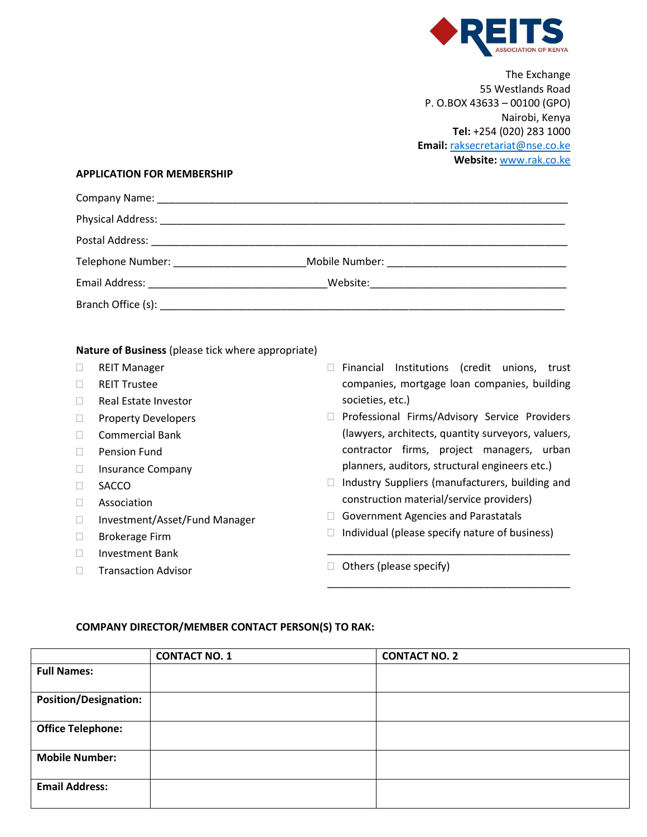

The Exchange 55 Westlands Road P. O.BOX 43633 – 00100 (GPO) Nairobi, Kenya **Tel:** +254 (020) 283 1000 **Email:** [raksecretariat@nse.co.ke](mailto:raksecretariat@nse.co.ke)  **Website:** [www.rak.co.ke](http://www.rak.co.ke/) 

#### **APPLICATION FOR MEMBERSHIP**

| Telephone Number: National Property of the Contract of Telephone Number: |  |
|--------------------------------------------------------------------------|--|
|                                                                          |  |
|                                                                          |  |
|                                                                          |  |

#### **Nature of Business** (please tick where appropriate)

- REIT Manager
- REIT Trustee
- Real Estate Investor
- **Property Developers**
- Commercial Bank
- **Pension Fund**
- □ Insurance Company
- **SACCO**
- Association
- □ Investment/Asset/Fund Manager
- □ Brokerage Firm
- □ Investment Bank
- **Transaction Advisor**
- $\Box$  Financial Institutions (credit unions, trust companies, mortgage loan companies, building societies, etc.)
- D Professional Firms/Advisory Service Providers (lawyers, architects, quantity surveyors, valuers, contractor firms, project managers, urban planners, auditors, structural engineers etc.)
- $\Box$  Industry Suppliers (manufacturers, building and construction material/service providers)
- Government Agencies and Parastatals
- $\Box$  Individual (please specify nature of business)

\_\_\_\_\_\_\_\_\_\_\_\_\_\_\_\_\_\_\_\_\_\_\_\_\_\_\_\_\_\_\_\_\_\_\_\_\_\_\_\_\_\_

\_\_\_\_\_\_\_\_\_\_\_\_\_\_\_\_\_\_\_\_\_\_\_\_\_\_\_\_\_\_\_\_\_\_\_\_\_\_\_\_\_\_

 $\Box$  Others (please specify)

# **COMPANY DIRECTOR/MEMBER CONTACT PERSON(S) TO RAK:**

|                              | <b>CONTACT NO. 1</b> | <b>CONTACT NO. 2</b> |
|------------------------------|----------------------|----------------------|
| <b>Full Names:</b>           |                      |                      |
| <b>Position/Designation:</b> |                      |                      |
| <b>Office Telephone:</b>     |                      |                      |
| <b>Mobile Number:</b>        |                      |                      |
| <b>Email Address:</b>        |                      |                      |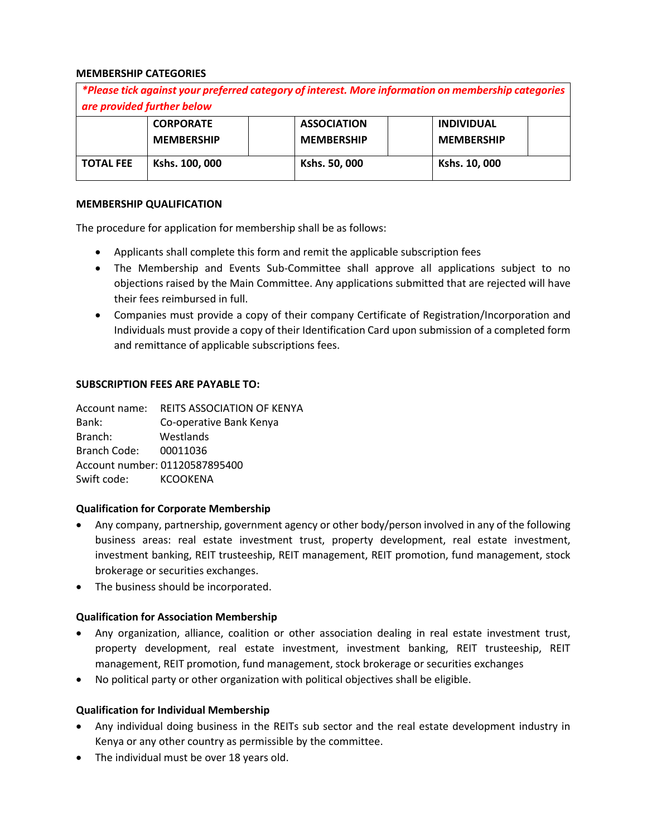## **MEMBERSHIP CATEGORIES**

| *Please tick against your preferred category of interest. More information on membership categories<br>are provided further below |                                       |                                         |                                        |
|-----------------------------------------------------------------------------------------------------------------------------------|---------------------------------------|-----------------------------------------|----------------------------------------|
|                                                                                                                                   | <b>CORPORATE</b><br><b>MEMBERSHIP</b> | <b>ASSOCIATION</b><br><b>MEMBERSHIP</b> | <b>INDIVIDUAL</b><br><b>MEMBERSHIP</b> |
| <b>TOTAL FEE</b>                                                                                                                  | Kshs. 100, 000                        | Kshs. 50, 000                           | Kshs. 10, 000                          |

#### **MEMBERSHIP QUALIFICATION**

The procedure for application for membership shall be as follows:

- Applicants shall complete this form and remit the applicable subscription fees
- The Membership and Events Sub-Committee shall approve all applications subject to no objections raised by the Main Committee. Any applications submitted that are rejected will have their fees reimbursed in full.
- Companies must provide a copy of their company Certificate of Registration/Incorporation and Individuals must provide a copy of their Identification Card upon submission of a completed form and remittance of applicable subscriptions fees.

## **SUBSCRIPTION FEES ARE PAYABLE TO:**

|                                | Account name: REITS ASSOCIATION OF KENYA |  |  |
|--------------------------------|------------------------------------------|--|--|
| Bank:                          | Co-operative Bank Kenya                  |  |  |
| Branch:                        | Westlands                                |  |  |
| <b>Branch Code:</b>            | 00011036                                 |  |  |
| Account number: 01120587895400 |                                          |  |  |
| Swift code: KCOOKENA           |                                          |  |  |

# **Qualification for Corporate Membership**

- Any company, partnership, government agency or other body/person involved in any of the following business areas: real estate investment trust, property development, real estate investment, investment banking, REIT trusteeship, REIT management, REIT promotion, fund management, stock brokerage or securities exchanges.
- The business should be incorporated.

# **Qualification for Association Membership**

- Any organization, alliance, coalition or other association dealing in real estate investment trust, property development, real estate investment, investment banking, REIT trusteeship, REIT management, REIT promotion, fund management, stock brokerage or securities exchanges
- No political party or other organization with political objectives shall be eligible.

# **Qualification for Individual Membership**

- Any individual doing business in the REITs sub sector and the real estate development industry in Kenya or any other country as permissible by the committee.
- The individual must be over 18 years old.